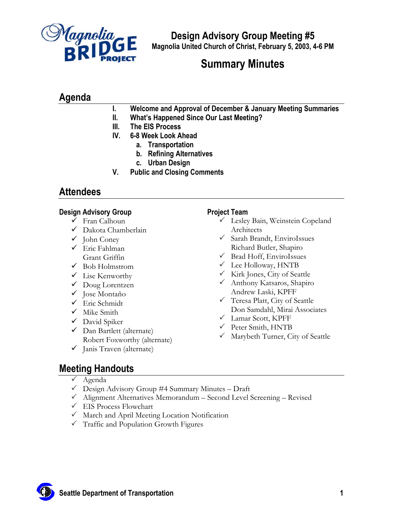

**Design Advisory Group Meeting #5 Magnolia United Church of Christ, February 5, 2003, 4-6 PM**

# **Summary Minutes**

## **Agenda**

- **I. Welcome and Approval of December & January Meeting Summaries**
- **II. What's Happened Since Our Last Meeting?**
- **III. The EIS Process**
- **IV. 6-8 Week Look Ahead** 
	- **a. Transportation**
	- **b. Refining Alternatives**
	- **c. Urban Design**
- **V. Public and Closing Comments**

## **Attendees**

### **Design Advisory Group**

- $\checkmark$  Fran Calhoun
- $\checkmark$  Dakota Chamberlain
- $\checkmark$  John Coney
- $\checkmark$  Eric Fahlman Grant Griffin
- $\checkmark$  Bob Holmstrom
- $\checkmark$  Lise Kenworthy
- $\checkmark$  Doug Lorentzen
- $\checkmark$  Jose Montaño
- $\checkmark$  Eric Schmidt
- $\checkmark$  Mike Smith
- $\checkmark$  David Spiker
- $\checkmark$  Dan Bartlett (alternate) Robert Foxworthy (alternate)
- $\checkmark$  Janis Traven (alternate)

### **Project Team**

- $\checkmark$  Lesley Bain, Weinstein Copeland Architects
- $\checkmark$  Sarah Brandt, EnviroIssues Richard Butler, Shapiro
- $\checkmark$  Brad Hoff, EnviroIssues
- $\checkmark$  Lee Holloway, HNTB
- $\checkmark$  Kirk Jones, City of Seattle
- 3 Anthony Katsaros, Shapiro Andrew Laski, KPFF
- $\checkmark$  Teresa Platt, City of Seattle Don Samdahl, Mirai Associates
- $\checkmark$  Lamar Scott, KPFF
- $\checkmark$  Peter Smith, HNTB
- $\checkmark$  Marybeth Turner, City of Seattle

## **Meeting Handouts**

- $\checkmark$  Agenda
- $\checkmark$  Design Advisory Group #4 Summary Minutes Draft
- $\checkmark$  Alignment Alternatives Memorandum Second Level Screening Revised
- $\checkmark$  EIS Process Flowchart
- $\checkmark$  March and April Meeting Location Notification
- $\checkmark$  Traffic and Population Growth Figures

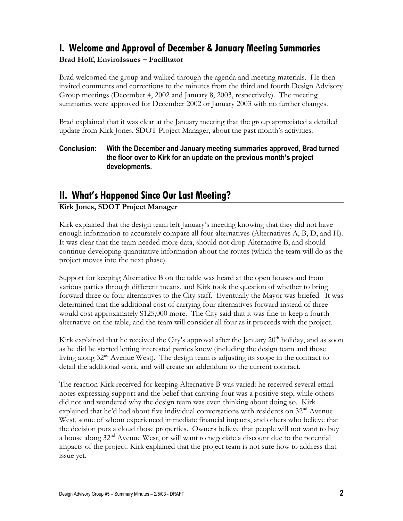## **I. Welcome and Approval of December & January Meeting Summaries**

### **Brad Hoff, EnviroIssues – Facilitator**

Brad welcomed the group and walked through the agenda and meeting materials. He then invited comments and corrections to the minutes from the third and fourth Design Advisory Group meetings (December 4, 2002 and January 8, 2003, respectively). The meeting summaries were approved for December 2002 or January 2003 with no further changes.

Brad explained that it was clear at the January meeting that the group appreciated a detailed update from Kirk Jones, SDOT Project Manager, about the past month's activities.

### **Conclusion: With the December and January meeting summaries approved, Brad turned the floor over to Kirk for an update on the previous month's project developments.**

## **II. What's Happened Since Our Last Meeting?**

### **Kirk Jones, SDOT Project Manager**

Kirk explained that the design team left January's meeting knowing that they did not have enough information to accurately compare all four alternatives (Alternatives A, B, D, and H). It was clear that the team needed more data, should not drop Alternative B, and should continue developing quantitative information about the routes (which the team will do as the project moves into the next phase).

Support for keeping Alternative B on the table was heard at the open houses and from various parties through different means, and Kirk took the question of whether to bring forward three or four alternatives to the City staff. Eventually the Mayor was briefed. It was determined that the additional cost of carrying four alternatives forward instead of three would cost approximately \$125,000 more. The City said that it was fine to keep a fourth alternative on the table, and the team will consider all four as it proceeds with the project.

Kirk explained that he received the City's approval after the January 20<sup>th</sup> holiday, and as soon as he did he started letting interested parties know (including the design team and those living along 32<sup>nd</sup> Avenue West). The design team is adjusting its scope in the contract to detail the additional work, and will create an addendum to the current contract.

The reaction Kirk received for keeping Alternative B was varied: he received several email notes expressing support and the belief that carrying four was a positive step, while others did not and wondered why the design team was even thinking about doing so. Kirk explained that he'd had about five individual conversations with residents on  $32<sup>nd</sup>$  Avenue West, some of whom experienced immediate financial impacts, and others who believe that the decision puts a cloud those properties. Owners believe that people will not want to buy a house along 32<sup>nd</sup> Avenue West, or will want to negotiate a discount due to the potential impacts of the project. Kirk explained that the project team is not sure how to address that issue yet.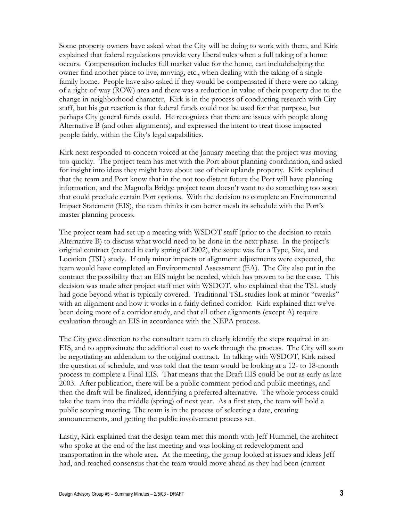Some property owners have asked what the City will be doing to work with them, and Kirk explained that federal regulations provide very liberal rules when a full taking of a home occurs. Compensation includes full market value for the home, can includehelping the owner find another place to live, moving, etc., when dealing with the taking of a singlefamily home. People have also asked if they would be compensated if there were no taking of a right-of-way (ROW) area and there was a reduction in value of their property due to the change in neighborhood character. Kirk is in the process of conducting research with City staff, but his gut reaction is that federal funds could not be used for that purpose, but perhaps City general funds could. He recognizes that there are issues with people along Alternative B (and other alignments), and expressed the intent to treat those impacted people fairly, within the City's legal capabilities.

Kirk next responded to concern voiced at the January meeting that the project was moving too quickly. The project team has met with the Port about planning coordination, and asked for insight into ideas they might have about use of their uplands property. Kirk explained that the team and Port know that in the not too distant future the Port will have planning information, and the Magnolia Bridge project team doesn't want to do something too soon that could preclude certain Port options. With the decision to complete an Environmental Impact Statement (EIS), the team thinks it can better mesh its schedule with the Port's master planning process.

The project team had set up a meeting with WSDOT staff (prior to the decision to retain Alternative B) to discuss what would need to be done in the next phase. In the project's original contract (created in early spring of 2002), the scope was for a Type, Size, and Location (TSL) study. If only minor impacts or alignment adjustments were expected, the team would have completed an Environmental Assessment (EA). The City also put in the contract the possibility that an EIS might be needed, which has proven to be the case. This decision was made after project staff met with WSDOT, who explained that the TSL study had gone beyond what is typically covered. Traditional TSL studies look at minor "tweaks" with an alignment and how it works in a fairly defined corridor. Kirk explained that we've been doing more of a corridor study, and that all other alignments (except A) require evaluation through an EIS in accordance with the NEPA process.

The City gave direction to the consultant team to clearly identify the steps required in an EIS, and to approximate the additional cost to work through the process. The City will soon be negotiating an addendum to the original contract. In talking with WSDOT, Kirk raised the question of schedule, and was told that the team would be looking at a 12- to 18-month process to complete a Final EIS. That means that the Draft EIS could be out as early as late 2003. After publication, there will be a public comment period and public meetings, and then the draft will be finalized, identifying a preferred alternative. The whole process could take the team into the middle (spring) of next year. As a first step, the team will hold a public scoping meeting. The team is in the process of selecting a date, creating announcements, and getting the public involvement process set.

Lastly, Kirk explained that the design team met this month with Jeff Hummel, the architect who spoke at the end of the last meeting and was looking at redevelopment and transportation in the whole area. At the meeting, the group looked at issues and ideas Jeff had, and reached consensus that the team would move ahead as they had been (current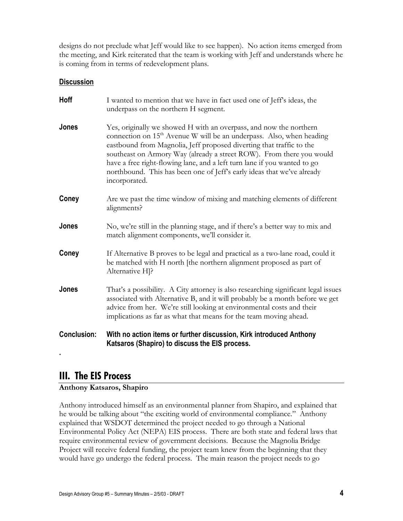designs do not preclude what Jeff would like to see happen). No action items emerged from the meeting, and Kirk reiterated that the team is working with Jeff and understands where he is coming from in terms of redevelopment plans.

### **Discussion**

| <b>Conclusion:</b> | With no action items or further discussion, Kirk introduced Anthony<br>Katsaros (Shapiro) to discuss the EIS process.                                                                                                                                                                                                                                                                                                                                                         |
|--------------------|-------------------------------------------------------------------------------------------------------------------------------------------------------------------------------------------------------------------------------------------------------------------------------------------------------------------------------------------------------------------------------------------------------------------------------------------------------------------------------|
| Jones              | That's a possibility. A City attorney is also researching significant legal issues<br>associated with Alternative B, and it will probably be a month before we get<br>advice from her. We're still looking at environmental costs and their<br>implications as far as what that means for the team moving ahead.                                                                                                                                                              |
| Coney              | If Alternative B proves to be legal and practical as a two-lane road, could it<br>be matched with H north [the northern alignment proposed as part of<br>Alternative H <sub>1</sub> ?                                                                                                                                                                                                                                                                                         |
| Jones              | No, we're still in the planning stage, and if there's a better way to mix and<br>match alignment components, we'll consider it.                                                                                                                                                                                                                                                                                                                                               |
| Coney              | Are we past the time window of mixing and matching elements of different<br>alignments?                                                                                                                                                                                                                                                                                                                                                                                       |
| Jones              | Yes, originally we showed H with an overpass, and now the northern<br>connection on 15 <sup>th</sup> Avenue W will be an underpass. Also, when heading<br>eastbound from Magnolia, Jeff proposed diverting that traffic to the<br>southeast on Armory Way (already a street ROW). From there you would<br>have a free right-flowing lane, and a left turn lane if you wanted to go<br>northbound. This has been one of Jeff's early ideas that we've already<br>incorporated. |
| Hoff               | I wanted to mention that we have in fact used one of Jeff's ideas, the<br>underpass on the northern H segment.                                                                                                                                                                                                                                                                                                                                                                |

### **III. The EIS Process**

**.** 

### **Anthony Katsaros, Shapiro**

Anthony introduced himself as an environmental planner from Shapiro, and explained that he would be talking about "the exciting world of environmental compliance." Anthony explained that WSDOT determined the project needed to go through a National Environmental Policy Act (NEPA) EIS process. There are both state and federal laws that require environmental review of government decisions. Because the Magnolia Bridge Project will receive federal funding, the project team knew from the beginning that they would have go undergo the federal process. The main reason the project needs to go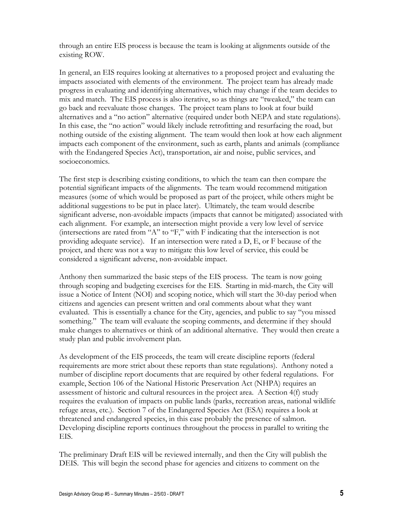through an entire EIS process is because the team is looking at alignments outside of the existing ROW.

In general, an EIS requires looking at alternatives to a proposed project and evaluating the impacts associated with elements of the environment. The project team has already made progress in evaluating and identifying alternatives, which may change if the team decides to mix and match. The EIS process is also iterative, so as things are "tweaked," the team can go back and reevaluate those changes. The project team plans to look at four build alternatives and a "no action" alternative (required under both NEPA and state regulations). In this case, the "no action" would likely include retrofitting and resurfacing the road, but nothing outside of the existing alignment. The team would then look at how each alignment impacts each component of the environment, such as earth, plants and animals (compliance with the Endangered Species Act), transportation, air and noise, public services, and socioeconomics.

The first step is describing existing conditions, to which the team can then compare the potential significant impacts of the alignments. The team would recommend mitigation measures (some of which would be proposed as part of the project, while others might be additional suggestions to be put in place later). Ultimately, the team would describe significant adverse, non-avoidable impacts (impacts that cannot be mitigated) associated with each alignment. For example, an intersection might provide a very low level of service (intersections are rated from "A" to "F," with F indicating that the intersection is not providing adequate service). If an intersection were rated a D, E, or F because of the project, and there was not a way to mitigate this low level of service, this could be considered a significant adverse, non-avoidable impact.

Anthony then summarized the basic steps of the EIS process. The team is now going through scoping and budgeting exercises for the EIS. Starting in mid-march, the City will issue a Notice of Intent (NOI) and scoping notice, which will start the 30-day period when citizens and agencies can present written and oral comments about what they want evaluated. This is essentially a chance for the City, agencies, and public to say "you missed something." The team will evaluate the scoping comments, and determine if they should make changes to alternatives or think of an additional alternative. They would then create a study plan and public involvement plan.

As development of the EIS proceeds, the team will create discipline reports (federal requirements are more strict about these reports than state regulations). Anthony noted a number of discipline report documents that are required by other federal regulations. For example, Section 106 of the National Historic Preservation Act (NHPA) requires an assessment of historic and cultural resources in the project area. A Section 4(f) study requires the evaluation of impacts on public lands (parks, recreation areas, national wildlife refuge areas, etc.). Section 7 of the Endangered Species Act (ESA) requires a look at threatened and endangered species, in this case probably the presence of salmon. Developing discipline reports continues throughout the process in parallel to writing the EIS.

The preliminary Draft EIS will be reviewed internally, and then the City will publish the DEIS. This will begin the second phase for agencies and citizens to comment on the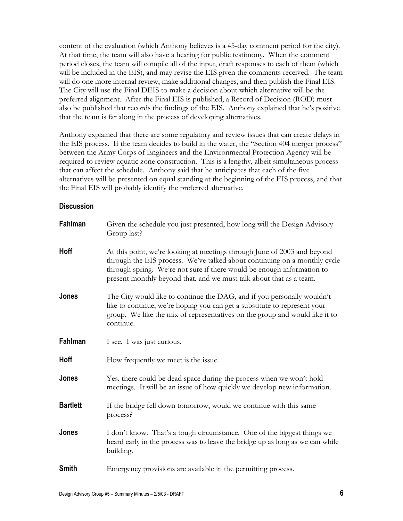content of the evaluation (which Anthony believes is a 45-day comment period for the city). At that time, the team will also have a hearing for public testimony. When the comment period closes, the team will compile all of the input, draft responses to each of them (which will be included in the EIS), and may revise the EIS given the comments received. The team will do one more internal review, make additional changes, and then publish the Final EIS. The City will use the Final DEIS to make a decision about which alternative will be the preferred alignment. After the Final EIS is published, a Record of Decision (ROD) must also be published that records the findings of the EIS. Anthony explained that he's positive that the team is far along in the process of developing alternatives.

Anthony explained that there are some regulatory and review issues that can create delays in the EIS process. If the team decides to build in the water, the "Section 404 merger process" between the Army Corps of Engineers and the Environmental Protection Agency will be required to review aquatic zone construction. This is a lengthy, albeit simultaneous process that can affect the schedule. Anthony said that he anticipates that each of the five alternatives will be presented on equal standing at the beginning of the EIS process, and that the Final EIS will probably identify the preferred alternative.

#### **Discussion**

| Fahlman         | Given the schedule you just presented, how long will the Design Advisory<br>Group last?                                                                                                                                                                                                                |
|-----------------|--------------------------------------------------------------------------------------------------------------------------------------------------------------------------------------------------------------------------------------------------------------------------------------------------------|
| <b>Hoff</b>     | At this point, we're looking at meetings through June of 2003 and beyond<br>through the EIS process. We've talked about continuing on a monthly cycle<br>through spring. We're not sure if there would be enough information to<br>present monthly beyond that, and we must talk about that as a team. |
| Jones           | The City would like to continue the DAG, and if you personally wouldn't<br>like to continue, we're hoping you can get a substitute to represent your<br>group. We like the mix of representatives on the group and would like it to<br>continue.                                                       |
| Fahlman         | I see. I was just curious.                                                                                                                                                                                                                                                                             |
| <b>Hoff</b>     | How frequently we meet is the issue.                                                                                                                                                                                                                                                                   |
| Jones           | Yes, there could be dead space during the process when we won't hold<br>meetings. It will be an issue of how quickly we develop new information.                                                                                                                                                       |
| <b>Bartlett</b> | If the bridge fell down tomorrow, would we continue with this same<br>process?                                                                                                                                                                                                                         |
| Jones           | I don't know. That's a tough circumstance. One of the biggest things we<br>heard early in the process was to leave the bridge up as long as we can while<br>building.                                                                                                                                  |
| <b>Smith</b>    | Emergency provisions are available in the permitting process.                                                                                                                                                                                                                                          |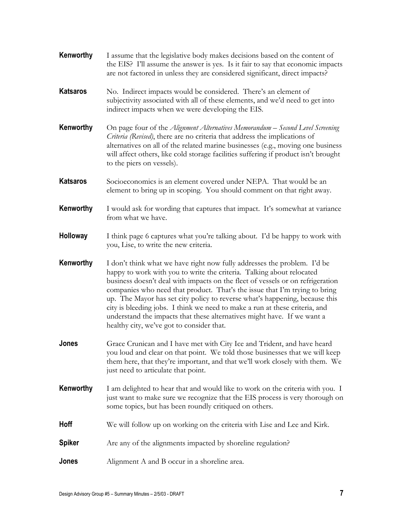| Kenworthy       | I assume that the legislative body makes decisions based on the content of<br>the EIS? I'll assume the answer is yes. Is it fair to say that economic impacts<br>are not factored in unless they are considered significant, direct impacts?                                                                                                                                                                                                                                                                                                                                                            |
|-----------------|---------------------------------------------------------------------------------------------------------------------------------------------------------------------------------------------------------------------------------------------------------------------------------------------------------------------------------------------------------------------------------------------------------------------------------------------------------------------------------------------------------------------------------------------------------------------------------------------------------|
| <b>Katsaros</b> | No. Indirect impacts would be considered. There's an element of<br>subjectivity associated with all of these elements, and we'd need to get into<br>indirect impacts when we were developing the EIS.                                                                                                                                                                                                                                                                                                                                                                                                   |
| Kenworthy       | On page four of the Alignment Alternatives Memorandum – Second Level Screening<br>Criteria (Revised), there are no criteria that address the implications of<br>alternatives on all of the related marine businesses (e.g., moving one business<br>will affect others, like cold storage facilities suffering if product isn't brought<br>to the piers on vessels).                                                                                                                                                                                                                                     |
| <b>Katsaros</b> | Socioeconomics is an element covered under NEPA. That would be an<br>element to bring up in scoping. You should comment on that right away.                                                                                                                                                                                                                                                                                                                                                                                                                                                             |
| Kenworthy       | I would ask for wording that captures that impact. It's somewhat at variance<br>from what we have.                                                                                                                                                                                                                                                                                                                                                                                                                                                                                                      |
| Holloway        | I think page 6 captures what you're talking about. I'd be happy to work with<br>you, Lise, to write the new criteria.                                                                                                                                                                                                                                                                                                                                                                                                                                                                                   |
| Kenworthy       | I don't think what we have right now fully addresses the problem. I'd be<br>happy to work with you to write the criteria. Talking about relocated<br>business doesn't deal with impacts on the fleet of vessels or on refrigeration<br>companies who need that product. That's the issue that I'm trying to bring<br>up. The Mayor has set city policy to reverse what's happening, because this<br>city is bleeding jobs. I think we need to make a run at these criteria, and<br>understand the impacts that these alternatives might have. If we want a<br>healthy city, we've got to consider that. |
| Jones           | Grace Crunican and I have met with City Ice and Trident, and have heard<br>you loud and clear on that point. We told those businesses that we will keep<br>them here, that they're important, and that we'll work closely with them. We<br>just need to articulate that point.                                                                                                                                                                                                                                                                                                                          |
| Kenworthy       | I am delighted to hear that and would like to work on the criteria with you. I<br>just want to make sure we recognize that the EIS process is very thorough on<br>some topics, but has been roundly critiqued on others.                                                                                                                                                                                                                                                                                                                                                                                |
| Hoff            | We will follow up on working on the criteria with Lise and Lee and Kirk.                                                                                                                                                                                                                                                                                                                                                                                                                                                                                                                                |
| <b>Spiker</b>   | Are any of the alignments impacted by shoreline regulation?                                                                                                                                                                                                                                                                                                                                                                                                                                                                                                                                             |
| Jones           | Alignment A and B occur in a shoreline area.                                                                                                                                                                                                                                                                                                                                                                                                                                                                                                                                                            |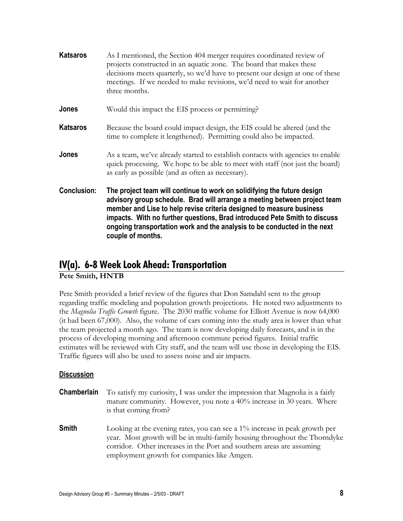| <b>Katsaros</b>    | As I mentioned, the Section 404 merger requires coordinated review of<br>projects constructed in an aquatic zone. The board that makes these<br>decisions meets quarterly, so we'd have to present our design at one of these<br>meetings. If we needed to make revisions, we'd need to wait for another<br>three months.                                                                                  |
|--------------------|------------------------------------------------------------------------------------------------------------------------------------------------------------------------------------------------------------------------------------------------------------------------------------------------------------------------------------------------------------------------------------------------------------|
| Jones              | Would this impact the EIS process or permitting?                                                                                                                                                                                                                                                                                                                                                           |
| <b>Katsaros</b>    | Because the board could impact design, the EIS could be altered (and the<br>time to complete it lengthened). Permitting could also be impacted.                                                                                                                                                                                                                                                            |
| Jones              | As a team, we've already started to establish contacts with agencies to enable<br>quick processing. We hope to be able to meet with staff (not just the board)<br>as early as possible (and as often as necessary).                                                                                                                                                                                        |
| <b>Conclusion:</b> | The project team will continue to work on solidifying the future design<br>advisory group schedule. Brad will arrange a meeting between project team<br>member and Lise to help revise criteria designed to measure business<br>impacts. With no further questions, Brad introduced Pete Smith to discuss<br>ongoing transportation work and the analysis to be conducted in the next<br>couple of months. |

## **IV(a). 6-8 Week Look Ahead: Transportation**

**Pete Smith, HNTB** 

Pete Smith provided a brief review of the figures that Don Samdahl sent to the group regarding traffic modeling and population growth projections. He noted two adjustments to the *Magnolia Traffic Growth* figure. The 2030 traffic volume for Elliott Avenue is now 64,000 (it had been 67,000). Also, the volume of cars coming into the study area is lower than what the team projected a month ago. The team is now developing daily forecasts, and is in the process of developing morning and afternoon commute period figures. Initial traffic estimates will be reviewed with City staff, and the team will use those in developing the EIS. Traffic figures will also be used to assess noise and air impacts.

### **Discussion**

**Chamberlain** To satisfy my curiosity, I was under the impression that Magnolia is a fairly mature community. However, you note a 40% increase in 30 years. Where is that coming from? **Smith** Looking at the evening rates, you can see a 1% increase in peak growth per year. Most growth will be in multi-family housing throughout the Thorndyke corridor. Other increases in the Port and southern areas are assuming employment growth for companies like Amgen.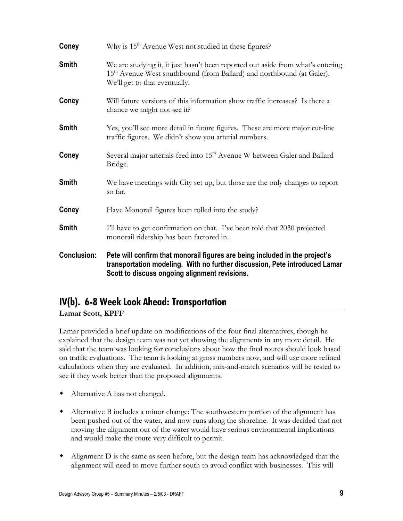| Coney              | Why is 15 <sup>th</sup> Avenue West not studied in these figures?                                                                                                                                          |
|--------------------|------------------------------------------------------------------------------------------------------------------------------------------------------------------------------------------------------------|
| <b>Smith</b>       | We are studying it, it just hasn't been reported out aside from what's entering<br>15 <sup>th</sup> Avenue West southbound (from Ballard) and northbound (at Galer).<br>We'll get to that eventually.      |
| Coney              | Will future versions of this information show traffic increases? Is there a<br>chance we might not see it?                                                                                                 |
| <b>Smith</b>       | Yes, you'll see more detail in future figures. These are more major cut-line<br>traffic figures. We didn't show you arterial numbers.                                                                      |
| Coney              | Several major arterials feed into 15 <sup>th</sup> Avenue W between Galer and Ballard<br>Bridge.                                                                                                           |
| <b>Smith</b>       | We have meetings with City set up, but those are the only changes to report<br>so far.                                                                                                                     |
| Coney              | Have Monorail figures been rolled into the study?                                                                                                                                                          |
| Smith              | I'll have to get confirmation on that. I've been told that 2030 projected<br>monorail ridership has been factored in.                                                                                      |
| <b>Conclusion:</b> | Pete will confirm that monorail figures are being included in the project's<br>transportation modeling. With no further discussion, Pete introduced Lamar<br>Scott to discuss ongoing alignment revisions. |

## **IV(b). 6-8 Week Look Ahead: Transportation**

**Lamar Scott, KPFF**

Lamar provided a brief update on modifications of the four final alternatives, though he explained that the design team was not yet showing the alignments in any more detail. He said that the team was looking for conclusions about how the final routes should look based on traffic evaluations. The team is looking at gross numbers now, and will use more refined calculations when they are evaluated. In addition, mix-and-match scenarios will be tested to see if they work better than the proposed alignments.

- Alternative A has not changed.
- Alternative B includes a minor change: The southwestern portion of the alignment has been pushed out of the water, and now runs along the shoreline. It was decided that not moving the alignment out of the water would have serious environmental implications and would make the route very difficult to permit.
- Alignment D is the same as seen before, but the design team has acknowledged that the alignment will need to move further south to avoid conflict with businesses. This will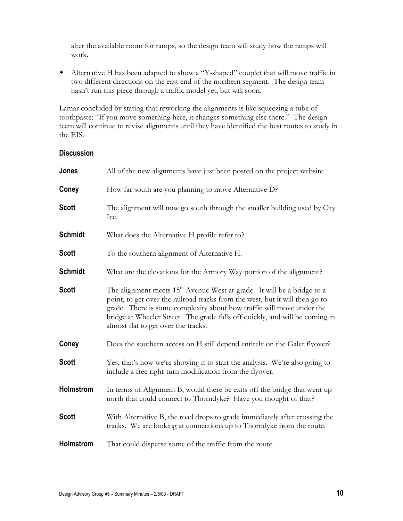alter the available room for ramps, so the design team will study how the ramps will work.

 Alternative H has been adapted to show a "Y-shaped" couplet that will move traffic in two different directions on the east end of the northern segment. The design team hasn't run this piece through a traffic model yet, but will soon.

Lamar concluded by stating that reworking the alignments is like squeezing a tube of toothpaste: "If you move something here, it changes something else there." The design team will continue to revise alignments until they have identified the best routes to study in the EIS.

### **Discussion**

| Jones            | All of the new alignments have just been posted on the project website.                                                                                                                                                                                                                                                                                   |
|------------------|-----------------------------------------------------------------------------------------------------------------------------------------------------------------------------------------------------------------------------------------------------------------------------------------------------------------------------------------------------------|
| Coney            | How far south are you planning to move Alternative D?                                                                                                                                                                                                                                                                                                     |
| <b>Scott</b>     | The alignment will now go south through the smaller building used by City<br>Ice.                                                                                                                                                                                                                                                                         |
| <b>Schmidt</b>   | What does the Alternative H profile refer to?                                                                                                                                                                                                                                                                                                             |
| <b>Scott</b>     | To the southern alignment of Alternative H.                                                                                                                                                                                                                                                                                                               |
| <b>Schmidt</b>   | What are the elevations for the Armory Way portion of the alignment?                                                                                                                                                                                                                                                                                      |
| <b>Scott</b>     | The alignment meets $15th$ Avenue West at-grade. It will be a bridge to a<br>point, to get over the railroad tracks from the west, but it will then go to<br>grade. There is some complexity about how traffic will move under the<br>bridge at Wheeler Street. The grade falls off quickly, and will be coming in<br>almost flat to get over the tracks. |
| Coney            | Does the southern access on H still depend entirely on the Galer flyover?                                                                                                                                                                                                                                                                                 |
| <b>Scott</b>     | Yes, that's how we're showing it to start the analysis. We're also going to<br>include a free right-turn modification from the flyover.                                                                                                                                                                                                                   |
| Holmstrom        | In terms of Alignment B, would there be exits off the bridge that went up<br>north that could connect to Thorndyke? Have you thought of that?                                                                                                                                                                                                             |
| <b>Scott</b>     | With Alternative B, the road drops to grade immediately after crossing the<br>tracks. We are looking at connections up to Thorndyke from the route.                                                                                                                                                                                                       |
| <b>Holmstrom</b> | That could disperse some of the traffic from the route.                                                                                                                                                                                                                                                                                                   |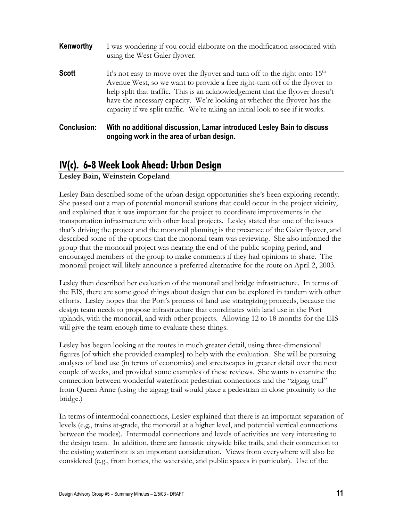| Kenworthy          | I was wondering if you could elaborate on the modification associated with<br>using the West Galer flyover.                                                                                                                                                                                                                                                                                               |
|--------------------|-----------------------------------------------------------------------------------------------------------------------------------------------------------------------------------------------------------------------------------------------------------------------------------------------------------------------------------------------------------------------------------------------------------|
| <b>Scott</b>       | It's not easy to move over the flyover and turn off to the right onto $15th$<br>Avenue West, so we want to provide a free right-turn off of the flyover to<br>help split that traffic. This is an acknowledgement that the flyover doesn't<br>have the necessary capacity. We're looking at whether the flyover has the<br>capacity if we split traffic. We're taking an initial look to see if it works. |
| <b>Conclusion:</b> | With no additional discussion, Lamar introduced Lesley Bain to discuss<br>ongoing work in the area of urban design.                                                                                                                                                                                                                                                                                       |

## **IV(c). 6-8 Week Look Ahead: Urban Design**

**Lesley Bain, Weinstein Copeland**

Lesley Bain described some of the urban design opportunities she's been exploring recently. She passed out a map of potential monorail stations that could occur in the project vicinity, and explained that it was important for the project to coordinate improvements in the transportation infrastructure with other local projects. Lesley stated that one of the issues that's driving the project and the monorail planning is the presence of the Galer flyover, and described some of the options that the monorail team was reviewing. She also informed the group that the monorail project was nearing the end of the public scoping period, and encouraged members of the group to make comments if they had opinions to share. The monorail project will likely announce a preferred alternative for the route on April 2, 2003.

Lesley then described her evaluation of the monorail and bridge infrastructure. In terms of the EIS, there are some good things about design that can be explored in tandem with other efforts. Lesley hopes that the Port's process of land use strategizing proceeds, because the design team needs to propose infrastructure that coordinates with land use in the Port uplands, with the monorail, and with other projects. Allowing 12 to 18 months for the EIS will give the team enough time to evaluate these things.

Lesley has begun looking at the routes in much greater detail, using three-dimensional figures [of which she provided examples] to help with the evaluation. She will be pursuing analyses of land use (in terms of economics) and streetscapes in greater detail over the next couple of weeks, and provided some examples of these reviews. She wants to examine the connection between wonderful waterfront pedestrian connections and the "zigzag trail" from Queen Anne (using the zigzag trail would place a pedestrian in close proximity to the bridge.)

In terms of intermodal connections, Lesley explained that there is an important separation of levels (e.g., trains at-grade, the monorail at a higher level, and potential vertical connections between the modes). Intermodal connections and levels of activities are very interesting to the design team. In addition, there are fantastic citywide bike trails, and their connection to the existing waterfront is an important consideration. Views from everywhere will also be considered (e.g., from homes, the waterside, and public spaces in particular). Use of the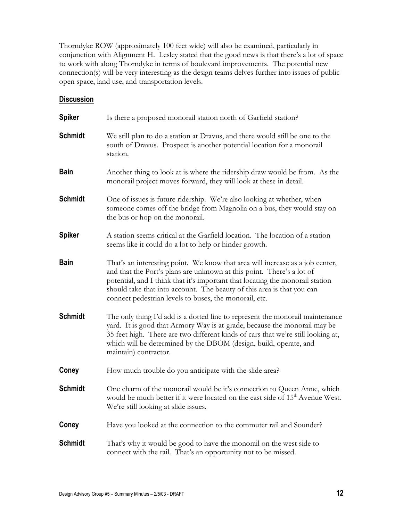Thorndyke ROW (approximately 100 feet wide) will also be examined, particularly in conjunction with Alignment H. Lesley stated that the good news is that there's a lot of space to work with along Thorndyke in terms of boulevard improvements. The potential new connection(s) will be very interesting as the design teams delves further into issues of public open space, land use, and transportation levels.

### **Discussion**

| <b>Spiker</b>  | Is there a proposed monoral station north of Garfield station?                                                                                                                                                                                                                                                                                                              |
|----------------|-----------------------------------------------------------------------------------------------------------------------------------------------------------------------------------------------------------------------------------------------------------------------------------------------------------------------------------------------------------------------------|
| <b>Schmidt</b> | We still plan to do a station at Dravus, and there would still be one to the<br>south of Dravus. Prospect is another potential location for a monorail<br>station.                                                                                                                                                                                                          |
| <b>Bain</b>    | Another thing to look at is where the ridership draw would be from. As the<br>monorail project moves forward, they will look at these in detail.                                                                                                                                                                                                                            |
| <b>Schmidt</b> | One of issues is future ridership. We're also looking at whether, when<br>someone comes off the bridge from Magnolia on a bus, they would stay on<br>the bus or hop on the monorail.                                                                                                                                                                                        |
| <b>Spiker</b>  | A station seems critical at the Garfield location. The location of a station<br>seems like it could do a lot to help or hinder growth.                                                                                                                                                                                                                                      |
| <b>Bain</b>    | That's an interesting point. We know that area will increase as a job center,<br>and that the Port's plans are unknown at this point. There's a lot of<br>potential, and I think that it's important that locating the monorail station<br>should take that into account. The beauty of this area is that you can<br>connect pedestrian levels to buses, the monorail, etc. |
| <b>Schmidt</b> | The only thing I'd add is a dotted line to represent the monorail maintenance<br>yard. It is good that Armory Way is at-grade, because the monorail may be<br>35 feet high. There are two different kinds of cars that we're still looking at,<br>which will be determined by the DBOM (design, build, operate, and<br>maintain) contractor.                                |
| Coney          | How much trouble do you anticipate with the slide area?                                                                                                                                                                                                                                                                                                                     |
| <b>Schmidt</b> | One charm of the monorail would be it's connection to Queen Anne, which<br>would be much better if it were located on the east side of 15 <sup>th</sup> Avenue West.<br>We're still looking at slide issues.                                                                                                                                                                |
| Coney          | Have you looked at the connection to the commuter rail and Sounder?                                                                                                                                                                                                                                                                                                         |
| <b>Schmidt</b> | That's why it would be good to have the monoral on the west side to<br>connect with the rail. That's an opportunity not to be missed.                                                                                                                                                                                                                                       |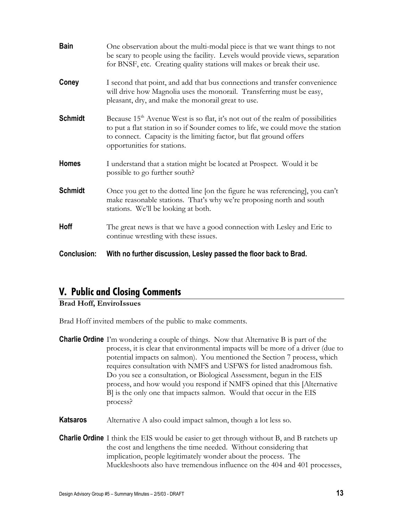| <b>Bain</b>        | One observation about the multi-modal piece is that we want things to not<br>be scary to people using the facility. Levels would provide views, separation<br>for BNSF, etc. Creating quality stations will makes or break their use.                                                |
|--------------------|--------------------------------------------------------------------------------------------------------------------------------------------------------------------------------------------------------------------------------------------------------------------------------------|
| Coney              | I second that point, and add that bus connections and transfer convenience<br>will drive how Magnolia uses the monorail. Transferring must be easy,<br>pleasant, dry, and make the monorail great to use.                                                                            |
| <b>Schmidt</b>     | Because 15 <sup>th</sup> Avenue West is so flat, it's not out of the realm of possibilities<br>to put a flat station in so if Sounder comes to life, we could move the station<br>to connect. Capacity is the limiting factor, but flat ground offers<br>opportunities for stations. |
| <b>Homes</b>       | I understand that a station might be located at Prospect. Would it be<br>possible to go further south?                                                                                                                                                                               |
| <b>Schmidt</b>     | Once you get to the dotted line [on the figure he was referencing], you can't<br>make reasonable stations. That's why we're proposing north and south<br>stations. We'll be looking at both.                                                                                         |
| <b>Hoff</b>        | The great news is that we have a good connection with Lesley and Eric to<br>continue wrestling with these issues.                                                                                                                                                                    |
| <b>Conclusion:</b> | With no further discussion, Lesley passed the floor back to Brad.                                                                                                                                                                                                                    |

## **V. Public and Closing Comments**

**Brad Hoff, EnviroIssues** 

Brad Hoff invited members of the public to make comments.

**Katsaros** Alternative A also could impact salmon, though a lot less so.

**Charlie Ordine** I think the EIS would be easier to get through without B, and B ratchets up the cost and lengthens the time needed. Without considering that implication, people legitimately wonder about the process. The Muckleshoots also have tremendous influence on the 404 and 401 processes,

**Charlie Ordine** I'm wondering a couple of things. Now that Alternative B is part of the process, it is clear that environmental impacts will be more of a driver (due to potential impacts on salmon). You mentioned the Section 7 process, which requires consultation with NMFS and USFWS for listed anadromous fish. Do you see a consultation, or Biological Assessment, begun in the EIS process, and how would you respond if NMFS opined that this [Alternative B] is the only one that impacts salmon. Would that occur in the EIS process?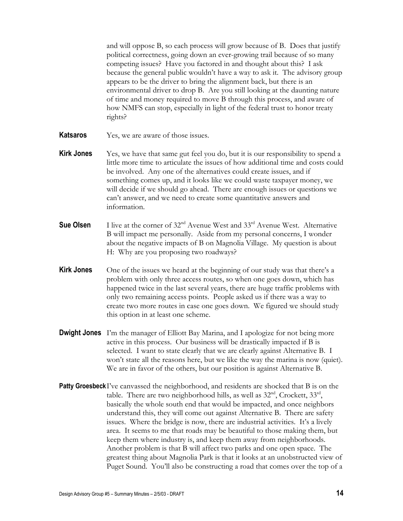and will oppose B, so each process will grow because of B. Does that justify political correctness, going down an ever-growing trail because of so many competing issues? Have you factored in and thought about this? I ask because the general public wouldn't have a way to ask it. The advisory group appears to be the driver to bring the alignment back, but there is an environmental driver to drop B. Are you still looking at the daunting nature of time and money required to move B through this process, and aware of how NMFS can stop, especially in light of the federal trust to honor treaty rights?

- **Katsaros** Yes, we are aware of those issues.
- **Kirk Jones** Yes, we have that same gut feel you do, but it is our responsibility to spend a little more time to articulate the issues of how additional time and costs could be involved. Any one of the alternatives could create issues, and if something comes up, and it looks like we could waste taxpayer money, we will decide if we should go ahead. There are enough issues or questions we can't answer, and we need to create some quantitative answers and information.
- **Sue Olsen** I live at the corner of 32<sup>nd</sup> Avenue West and 33<sup>rd</sup> Avenue West. Alternative B will impact me personally. Aside from my personal concerns, I wonder about the negative impacts of B on Magnolia Village. My question is about H: Why are you proposing two roadways?
- **Kirk Jones** One of the issues we heard at the beginning of our study was that there's a problem with only three access routes, so when one goes down, which has happened twice in the last several years, there are huge traffic problems with only two remaining access points. People asked us if there was a way to create two more routes in case one goes down. We figured we should study this option in at least one scheme.
- **Dwight Jones** I'm the manager of Elliott Bay Marina, and I apologize for not being more active in this process. Our business will be drastically impacted if B is selected. I want to state clearly that we are clearly against Alternative B. I won't state all the reasons here, but we like the way the marina is now (quiet). We are in favor of the others, but our position is against Alternative B.
- **Patty Groesbeck** I've canvassed the neighborhood, and residents are shocked that B is on the table. There are two neighborhood hills, as well as  $32<sup>nd</sup>$ , Crockett,  $33<sup>rd</sup>$ , basically the whole south end that would be impacted, and once neighbors understand this, they will come out against Alternative B. There are safety issues. Where the bridge is now, there are industrial activities. It's a lively area. It seems to me that roads may be beautiful to those making them, but keep them where industry is, and keep them away from neighborhoods. Another problem is that B will affect two parks and one open space. The greatest thing about Magnolia Park is that it looks at an unobstructed view of Puget Sound. You'll also be constructing a road that comes over the top of a